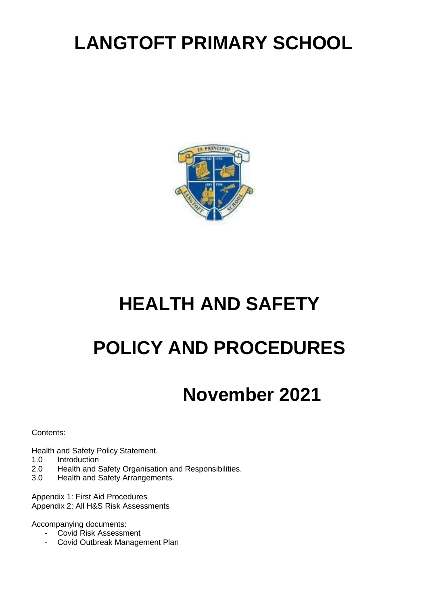# **LANGTOFT PRIMARY SCHOOL**



# **HEALTH AND SAFETY**

# **POLICY AND PROCEDURES**

# **November 2021**

Contents:

Health and Safety Policy Statement.

- 1.0 Introduction<br>2.0 Health and 9
- 2.0 Health and Safety Organisation and Responsibilities.<br>3.0 Health and Safety Arrangements.
- Health and Safety Arrangements.

Appendix 1: First Aid Procedures Appendix 2: All H&S Risk Assessments

Accompanying documents:

- Covid Risk Assessment
- Covid Outbreak Management Plan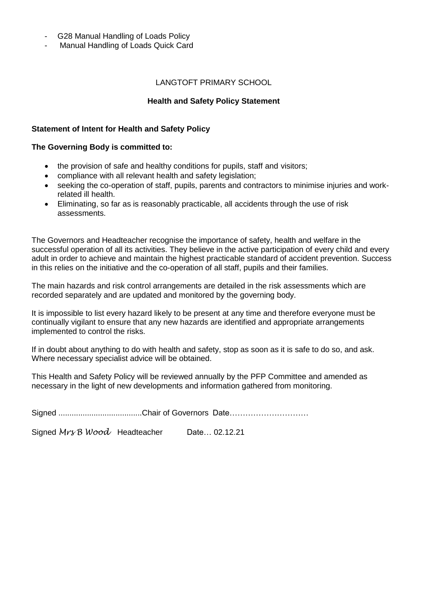- G28 Manual Handling of Loads Policy
- Manual Handling of Loads Quick Card

#### LANGTOFT PRIMARY SCHOOL

#### **Health and Safety Policy Statement**

#### **Statement of Intent for Health and Safety Policy**

#### **The Governing Body is committed to:**

- the provision of safe and healthy conditions for pupils, staff and visitors;
- compliance with all relevant health and safety legislation;
- seeking the co-operation of staff, pupils, parents and contractors to minimise injuries and workrelated ill health.
- Eliminating, so far as is reasonably practicable, all accidents through the use of risk assessments.

The Governors and Headteacher recognise the importance of safety, health and welfare in the successful operation of all its activities. They believe in the active participation of every child and every adult in order to achieve and maintain the highest practicable standard of accident prevention. Success in this relies on the initiative and the co-operation of all staff, pupils and their families.

The main hazards and risk control arrangements are detailed in the risk assessments which are recorded separately and are updated and monitored by the governing body.

It is impossible to list every hazard likely to be present at any time and therefore everyone must be continually vigilant to ensure that any new hazards are identified and appropriate arrangements implemented to control the risks.

If in doubt about anything to do with health and safety, stop as soon as it is safe to do so, and ask. Where necessary specialist advice will be obtained.

This Health and Safety Policy will be reviewed annually by the PFP Committee and amended as necessary in the light of new developments and information gathered from monitoring.

Signed *Mr<sub>8</sub>* B Wood Headteacher Date... 02.12.21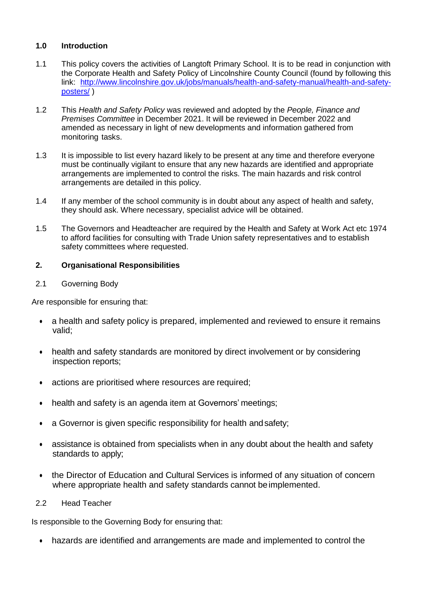## **1.0 Introduction**

- 1.1 This policy covers the activities of Langtoft Primary School. It is to be read in conjunction with the Corporate Health and Safety Policy of Lincolnshire County Council (found by following this link: [http://www.lincolnshire.gov.uk/jobs/manuals/health-and-safety-manual/health-and-safety](http://www.lincolnshire.gov.uk/jobs/manuals/health-and-safety-manual/health-and-safety-posters/)[posters/](http://www.lincolnshire.gov.uk/jobs/manuals/health-and-safety-manual/health-and-safety-posters/) )
- 1.2 This *Health and Safety Policy* was reviewed and adopted by the *People, Finance and Premises Committee* in December 2021. It will be reviewed in December 2022 and amended as necessary in light of new developments and information gathered from monitoring tasks.
- 1.3 It is impossible to list every hazard likely to be present at any time and therefore everyone must be continually vigilant to ensure that any new hazards are identified and appropriate arrangements are implemented to control the risks. The main hazards and risk control arrangements are detailed in this policy.
- 1.4 If any member of the school community is in doubt about any aspect of health and safety, they should ask. Where necessary, specialist advice will be obtained.
- 1.5 The Governors and Headteacher are required by the Health and Safety at Work Act etc 1974 to afford facilities for consulting with Trade Union safety representatives and to establish safety committees where requested.

## **2. Organisational Responsibilities**

## 2.1 Governing Body

Are responsible for ensuring that:

- a health and safety policy is prepared, implemented and reviewed to ensure it remains valid;
- health and safety standards are monitored by direct involvement or by considering inspection reports;
- actions are prioritised where resources are required;
- health and safety is an agenda item at Governors' meetings;
- a Governor is given specific responsibility for health and safety;
- assistance is obtained from specialists when in any doubt about the health and safety standards to apply;
- the Director of Education and Cultural Services is informed of any situation of concern where appropriate health and safety standards cannot beimplemented.

#### 2.2 Head Teacher

Is responsible to the Governing Body for ensuring that:

• hazards are identified and arrangements are made and implemented to control the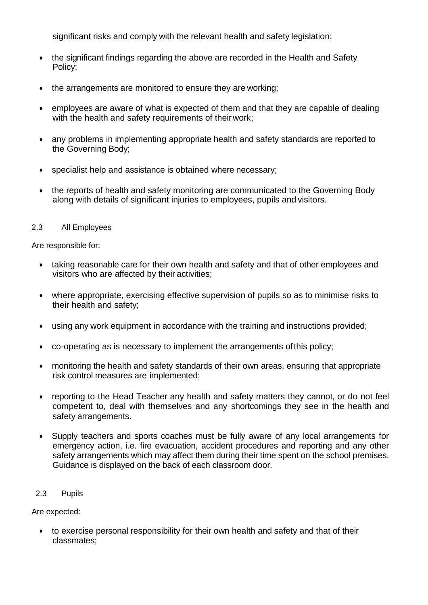significant risks and comply with the relevant health and safety legislation;

- the significant findings regarding the above are recorded in the Health and Safety Policy;
- the arrangements are monitored to ensure they are working;
- employees are aware of what is expected of them and that they are capable of dealing with the health and safety requirements of their work;
- any problems in implementing appropriate health and safety standards are reported to the Governing Body;
- specialist help and assistance is obtained where necessary;
- the reports of health and safety monitoring are communicated to the Governing Body along with details of significant injuries to employees, pupils and visitors.

## 2.3 All Employees

Are responsible for:

- taking reasonable care for their own health and safety and that of other employees and visitors who are affected by their activities;
- where appropriate, exercising effective supervision of pupils so as to minimise risks to their health and safety;
- using any work equipment in accordance with the training and instructions provided;
- co-operating as is necessary to implement the arrangements ofthis policy;
- monitoring the health and safety standards of their own areas, ensuring that appropriate risk control measures are implemented;
- reporting to the Head Teacher any health and safety matters they cannot, or do not feel competent to, deal with themselves and any shortcomings they see in the health and safety arrangements.
- Supply teachers and sports coaches must be fully aware of any local arrangements for emergency action, i.e. fire evacuation, accident procedures and reporting and any other safety arrangements which may affect them during their time spent on the school premises. Guidance is displayed on the back of each classroom door.

## 2.3 Pupils

Are expected:

• to exercise personal responsibility for their own health and safety and that of their classmates;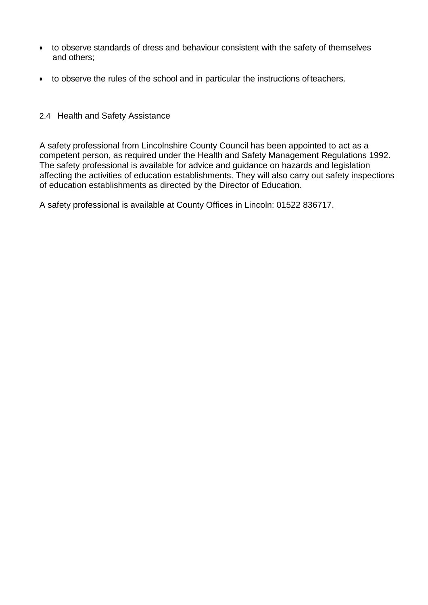- to observe standards of dress and behaviour consistent with the safety of themselves and others;
- to observe the rules of the school and in particular the instructions ofteachers.
- 2.4 Health and Safety Assistance

A safety professional from Lincolnshire County Council has been appointed to act as a competent person, as required under the Health and Safety Management Regulations 1992. The safety professional is available for advice and guidance on hazards and legislation affecting the activities of education establishments. They will also carry out safety inspections of education establishments as directed by the Director of Education.

A safety professional is available at County Offices in Lincoln: 01522 836717.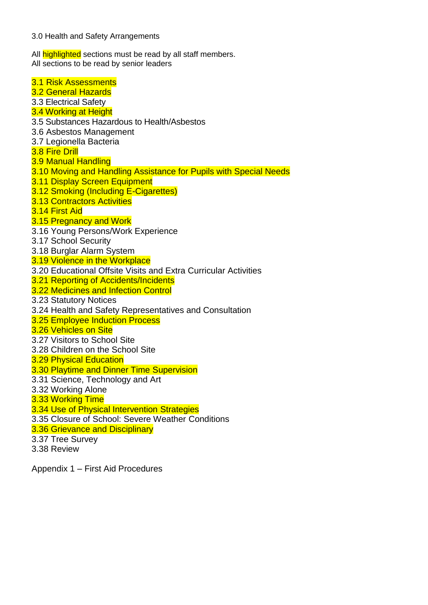3.0 Health and Safety Arrangements

All **highlighted** sections must be read by all staff members. All sections to be read by senior leaders

3.1 Risk Assessments 3.2 General Hazards 3.3 Electrical Safety 3.4 Working at Height 3.5 Substances Hazardous to Health/Asbestos 3.6 Asbestos Management 3.7 Legionella Bacteria 3.8 Fire Drill 3.9 Manual Handling 3.10 Moving and Handling Assistance for Pupils with Special Needs 3.11 Display Screen Equipment 3.12 Smoking (Including E-Cigarettes) 3.13 Contractors Activities 3.14 First Aid 3.15 Pregnancy and Work 3.16 Young Persons/Work Experience 3.17 School Security 3.18 Burglar Alarm System 3.19 Violence in the Workplace 3.20 Educational Offsite Visits and Extra Curricular Activities 3.21 Reporting of Accidents/Incidents 3.22 Medicines and Infection Control 3.23 Statutory Notices 3.24 Health and Safety Representatives and Consultation 3.25 Employee Induction Process 3.26 Vehicles on Site 3.27 Visitors to School Site 3.28 Children on the School Site 3.29 Physical Education 3.30 Playtime and Dinner Time Supervision 3.31 Science, Technology and Art 3.32 Working Alone 3.33 Working Time 3.34 Use of Physical Intervention Strategies 3.35 Closure of School: Severe Weather Conditions 3.36 Grievance and Disciplinary 3.37 Tree Survey 3.38 Review

Appendix 1 – First Aid Procedures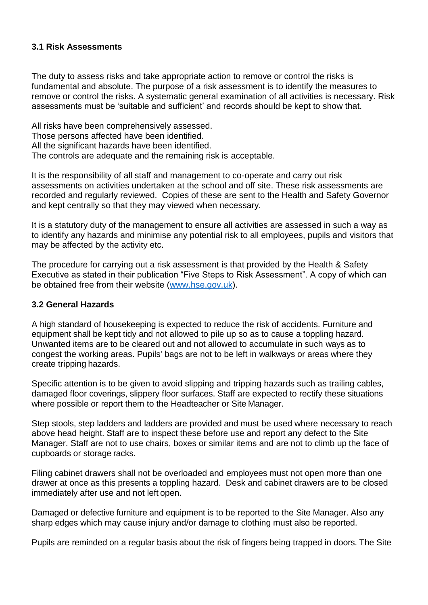## **3.1 Risk Assessments**

The duty to assess risks and take appropriate action to remove or control the risks is fundamental and absolute. The purpose of a risk assessment is to identify the measures to remove or control the risks. A systematic general examination of all activities is necessary. Risk assessments must be 'suitable and sufficient' and records should be kept to show that.

All risks have been comprehensively assessed. Those persons affected have been identified. All the significant hazards have been identified. The controls are adequate and the remaining risk is acceptable.

It is the responsibility of all staff and management to co-operate and carry out risk assessments on activities undertaken at the school and off site. These risk assessments are recorded and regularly reviewed. Copies of these are sent to the Health and Safety Governor and kept centrally so that they may viewed when necessary.

It is a statutory duty of the management to ensure all activities are assessed in such a way as to identify any hazards and minimise any potential risk to all employees, pupils and visitors that may be affected by the activity etc.

The procedure for carrying out a risk assessment is that provided by the Health & Safety Executive as stated in their publication "Five Steps to Risk Assessment". A copy of which can be obtained free from their website [\(www.hse.gov.uk\)](http://www.hse.gov.uk/).

## **3.2 General Hazards**

A high standard of housekeeping is expected to reduce the risk of accidents. Furniture and equipment shall be kept tidy and not allowed to pile up so as to cause a toppling hazard. Unwanted items are to be cleared out and not allowed to accumulate in such ways as to congest the working areas. Pupils' bags are not to be left in walkways or areas where they create tripping hazards.

Specific attention is to be given to avoid slipping and tripping hazards such as trailing cables, damaged floor coverings, slippery floor surfaces. Staff are expected to rectify these situations where possible or report them to the Headteacher or Site Manager.

Step stools, step ladders and ladders are provided and must be used where necessary to reach above head height. Staff are to inspect these before use and report any defect to the Site Manager. Staff are not to use chairs, boxes or similar items and are not to climb up the face of cupboards or storage racks.

Filing cabinet drawers shall not be overloaded and employees must not open more than one drawer at once as this presents a toppling hazard. Desk and cabinet drawers are to be closed immediately after use and not left open.

Damaged or defective furniture and equipment is to be reported to the Site Manager. Also any sharp edges which may cause injury and/or damage to clothing must also be reported.

Pupils are reminded on a regular basis about the risk of fingers being trapped in doors. The Site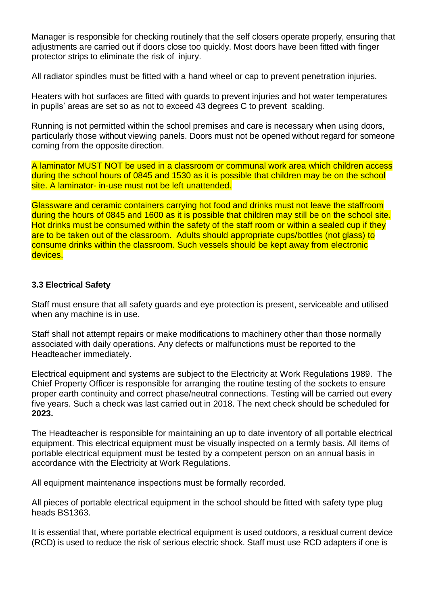Manager is responsible for checking routinely that the self closers operate properly, ensuring that adjustments are carried out if doors close too quickly. Most doors have been fitted with finger protector strips to eliminate the risk of injury.

All radiator spindles must be fitted with a hand wheel or cap to prevent penetration injuries.

Heaters with hot surfaces are fitted with guards to prevent injuries and hot water temperatures in pupils' areas are set so as not to exceed 43 degrees C to prevent scalding.

Running is not permitted within the school premises and care is necessary when using doors, particularly those without viewing panels. Doors must not be opened without regard for someone coming from the opposite direction.

A laminator MUST NOT be used in a classroom or communal work area which children access during the school hours of 0845 and 1530 as it is possible that children may be on the school site. A laminator- in-use must not be left unattended.

Glassware and ceramic containers carrying hot food and drinks must not leave the staffroom during the hours of 0845 and 1600 as it is possible that children may still be on the school site. Hot drinks must be consumed within the safety of the staff room or within a sealed cup if they are to be taken out of the classroom. Adults should appropriate cups/bottles (not glass) to consume drinks within the classroom. Such vessels should be kept away from electronic devices.

## **3.3 Electrical Safety**

Staff must ensure that all safety guards and eye protection is present, serviceable and utilised when any machine is in use.

Staff shall not attempt repairs or make modifications to machinery other than those normally associated with daily operations. Any defects or malfunctions must be reported to the Headteacher immediately.

Electrical equipment and systems are subject to the Electricity at Work Regulations 1989. The Chief Property Officer is responsible for arranging the routine testing of the sockets to ensure proper earth continuity and correct phase/neutral connections. Testing will be carried out every five years. Such a check was last carried out in 2018. The next check should be scheduled for **2023.**

The Headteacher is responsible for maintaining an up to date inventory of all portable electrical equipment. This electrical equipment must be visually inspected on a termly basis. All items of portable electrical equipment must be tested by a competent person on an annual basis in accordance with the Electricity at Work Regulations.

All equipment maintenance inspections must be formally recorded.

All pieces of portable electrical equipment in the school should be fitted with safety type plug heads BS1363.

It is essential that, where portable electrical equipment is used outdoors, a residual current device (RCD) is used to reduce the risk of serious electric shock. Staff must use RCD adapters if one is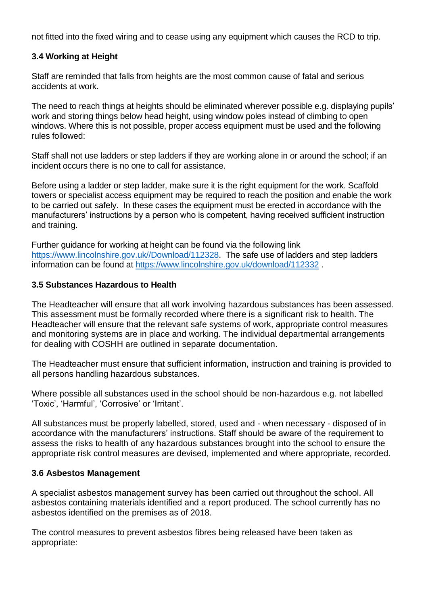not fitted into the fixed wiring and to cease using any equipment which causes the RCD to trip.

## **3.4 Working at Height**

Staff are reminded that falls from heights are the most common cause of fatal and serious accidents at work.

The need to reach things at heights should be eliminated wherever possible e.g. displaying pupils' work and storing things below head height, using window poles instead of climbing to open windows. Where this is not possible, proper access equipment must be used and the following rules followed:

Staff shall not use ladders or step ladders if they are working alone in or around the school; if an incident occurs there is no one to call for assistance.

Before using a ladder or step ladder, make sure it is the right equipment for the work. Scaffold towers or specialist access equipment may be required to reach the position and enable the work to be carried out safely. In these cases the equipment must be erected in accordance with the manufacturers' instructions by a person who is competent, having received sufficient instruction and training.

Further guidance for working at height can be found via the following link [https://www.lincolnshire.gov.uk//Download/112328.](https://www.lincolnshire.gov.uk/Download/112328) The safe use of ladders and step ladders information can be found at<https://www.lincolnshire.gov.uk/download/112332>.

#### **3.5 Substances Hazardous to Health**

The Headteacher will ensure that all work involving hazardous substances has been assessed. This assessment must be formally recorded where there is a significant risk to health. The Headteacher will ensure that the relevant safe systems of work, appropriate control measures and monitoring systems are in place and working. The individual departmental arrangements for dealing with COSHH are outlined in separate documentation.

The Headteacher must ensure that sufficient information, instruction and training is provided to all persons handling hazardous substances.

Where possible all substances used in the school should be non-hazardous e.g. not labelled 'Toxic', 'Harmful', 'Corrosive' or 'Irritant'.

All substances must be properly labelled, stored, used and - when necessary - disposed of in accordance with the manufacturers' instructions. Staff should be aware of the requirement to assess the risks to health of any hazardous substances brought into the school to ensure the appropriate risk control measures are devised, implemented and where appropriate, recorded.

## **3.6 Asbestos Management**

A specialist asbestos management survey has been carried out throughout the school. All asbestos containing materials identified and a report produced. The school currently has no asbestos identified on the premises as of 2018.

The control measures to prevent asbestos fibres being released have been taken as appropriate: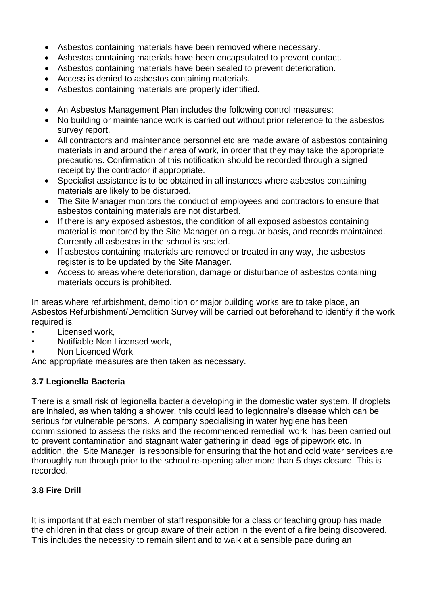- Asbestos containing materials have been removed where necessary.
- Asbestos containing materials have been encapsulated to prevent contact.
- Asbestos containing materials have been sealed to prevent deterioration.
- Access is denied to asbestos containing materials.
- Asbestos containing materials are properly identified.
- An Asbestos Management Plan includes the following control measures:
- No building or maintenance work is carried out without prior reference to the asbestos survey report.
- All contractors and maintenance personnel etc are made aware of asbestos containing materials in and around their area of work, in order that they may take the appropriate precautions. Confirmation of this notification should be recorded through a signed receipt by the contractor if appropriate.
- Specialist assistance is to be obtained in all instances where asbestos containing materials are likely to be disturbed.
- The Site Manager monitors the conduct of employees and contractors to ensure that asbestos containing materials are not disturbed.
- If there is any exposed asbestos, the condition of all exposed asbestos containing material is monitored by the Site Manager on a regular basis, and records maintained. Currently all asbestos in the school is sealed.
- If asbestos containing materials are removed or treated in any way, the asbestos register is to be updated by the Site Manager.
- Access to areas where deterioration, damage or disturbance of asbestos containing materials occurs is prohibited.

In areas where refurbishment, demolition or major building works are to take place, an Asbestos Refurbishment/Demolition Survey will be carried out beforehand to identify if the work required is:

- Licensed work,
- Notifiable Non Licensed work,
- Non Licenced Work,

And appropriate measures are then taken as necessary.

## **3.7 Legionella Bacteria**

There is a small risk of legionella bacteria developing in the domestic water system. If droplets are inhaled, as when taking a shower, this could lead to legionnaire's disease which can be serious for vulnerable persons. A company specialising in water hygiene has been commissioned to assess the risks and the recommended remedial work has been carried out to prevent contamination and stagnant water gathering in dead legs of pipework etc. In addition, the Site Manager is responsible for ensuring that the hot and cold water services are thoroughly run through prior to the school re-opening after more than 5 days closure. This is recorded.

## **3.8 Fire Drill**

It is important that each member of staff responsible for a class or teaching group has made the children in that class or group aware of their action in the event of a fire being discovered. This includes the necessity to remain silent and to walk at a sensible pace during an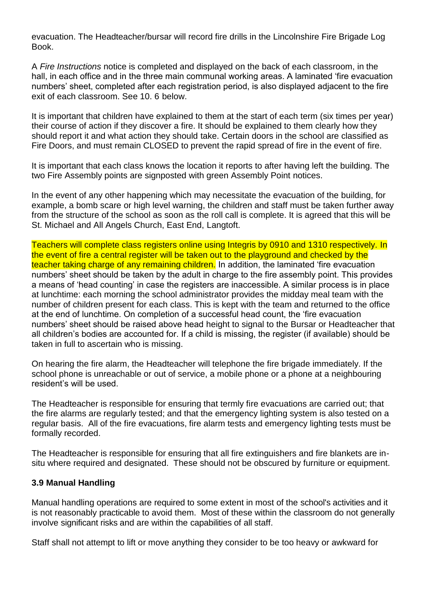evacuation. The Headteacher/bursar will record fire drills in the Lincolnshire Fire Brigade Log Book.

A *Fire Instructions* notice is completed and displayed on the back of each classroom, in the hall, in each office and in the three main communal working areas. A laminated 'fire evacuation numbers' sheet, completed after each registration period, is also displayed adjacent to the fire exit of each classroom. See 10. 6 below.

It is important that children have explained to them at the start of each term (six times per year) their course of action if they discover a fire. It should be explained to them clearly how they should report it and what action they should take. Certain doors in the school are classified as Fire Doors, and must remain CLOSED to prevent the rapid spread of fire in the event of fire.

It is important that each class knows the location it reports to after having left the building. The two Fire Assembly points are signposted with green Assembly Point notices.

In the event of any other happening which may necessitate the evacuation of the building, for example, a bomb scare or high level warning, the children and staff must be taken further away from the structure of the school as soon as the roll call is complete. It is agreed that this will be St. Michael and All Angels Church, East End, Langtoft.

Teachers will complete class registers online using Integris by 0910 and 1310 respectively. In the event of fire a central register will be taken out to the playground and checked by the teacher taking charge of any remaining children. In addition, the laminated 'fire evacuation numbers' sheet should be taken by the adult in charge to the fire assembly point. This provides a means of 'head counting' in case the registers are inaccessible. A similar process is in place at lunchtime: each morning the school administrator provides the midday meal team with the number of children present for each class. This is kept with the team and returned to the office at the end of lunchtime. On completion of a successful head count, the 'fire evacuation numbers' sheet should be raised above head height to signal to the Bursar or Headteacher that all children's bodies are accounted for. If a child is missing, the register (if available) should be taken in full to ascertain who is missing.

On hearing the fire alarm, the Headteacher will telephone the fire brigade immediately. If the school phone is unreachable or out of service, a mobile phone or a phone at a neighbouring resident's will be used.

The Headteacher is responsible for ensuring that termly fire evacuations are carried out; that the fire alarms are regularly tested; and that the emergency lighting system is also tested on a regular basis. All of the fire evacuations, fire alarm tests and emergency lighting tests must be formally recorded.

The Headteacher is responsible for ensuring that all fire extinguishers and fire blankets are insitu where required and designated. These should not be obscured by furniture or equipment.

## **3.9 Manual Handling**

Manual handling operations are required to some extent in most of the school's activities and it is not reasonably practicable to avoid them. Most of these within the classroom do not generally involve significant risks and are within the capabilities of all staff.

Staff shall not attempt to lift or move anything they consider to be too heavy or awkward for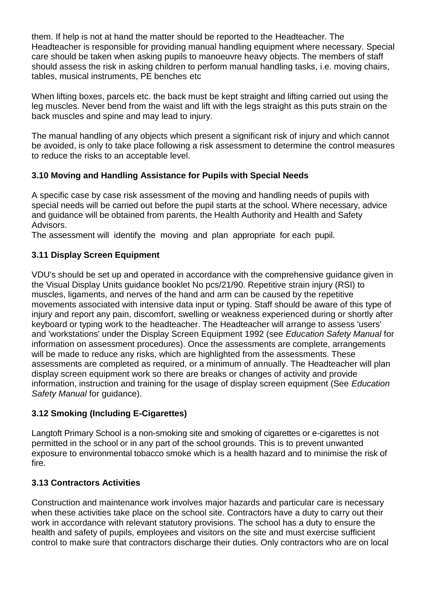them. If help is not at hand the matter should be reported to the Headteacher. The Headteacher is responsible for providing manual handling equipment where necessary. Special care should be taken when asking pupils to manoeuvre heavy objects. The members of staff should assess the risk in asking children to perform manual handling tasks, i.e. moving chairs, tables, musical instruments, PE benches etc

When lifting boxes, parcels etc. the back must be kept straight and lifting carried out using the leg muscles. Never bend from the waist and lift with the legs straight as this puts strain on the back muscles and spine and may lead to injury.

The manual handling of any objects which present a significant risk of injury and which cannot be avoided, is only to take place following a risk assessment to determine the control measures to reduce the risks to an acceptable level.

## **3.10 Moving and Handling Assistance for Pupils with Special Needs**

A specific case by case risk assessment of the moving and handling needs of pupils with special needs will be carried out before the pupil starts at the school. Where necessary, advice and guidance will be obtained from parents, the Health Authority and Health and Safety Advisors.

The assessment will identify the moving and plan appropriate for each pupil.

## **3.11 Display Screen Equipment**

VDU's should be set up and operated in accordance with the comprehensive guidance given in the Visual Display Units guidance booklet No pcs/21/90. Repetitive strain injury (RSI) to muscles, ligaments, and nerves of the hand and arm can be caused by the repetitive movements associated with intensive data input or typing. Staff should be aware of this type of injury and report any pain, discomfort, swelling or weakness experienced during or shortly after keyboard or typing work to the headteacher. The Headteacher will arrange to assess 'users' and 'workstations' under the Display Screen Equipment 1992 (see *Education Safety Manual* for information on assessment procedures). Once the assessments are complete, arrangements will be made to reduce any risks, which are highlighted from the assessments. These assessments are completed as required, or a minimum of annually. The Headteacher will plan display screen equipment work so there are breaks or changes of activity and provide information, instruction and training for the usage of display screen equipment (See *Education*  Safety Manual for guidance).

# **3.12 Smoking (Including E-Cigarettes)**

Langtoft Primary School is a non-smoking site and smoking of cigarettes or e-cigarettes is not permitted in the school or in any part of the school grounds. This is to prevent unwanted exposure to environmental tobacco smoke which is a health hazard and to minimise the risk of fire.

## **3.13 Contractors Activities**

Construction and maintenance work involves major hazards and particular care is necessary when these activities take place on the school site. Contractors have a duty to carry out their work in accordance with relevant statutory provisions. The school has a duty to ensure the health and safety of pupils, employees and visitors on the site and must exercise sufficient control to make sure that contractors discharge their duties. Only contractors who are on local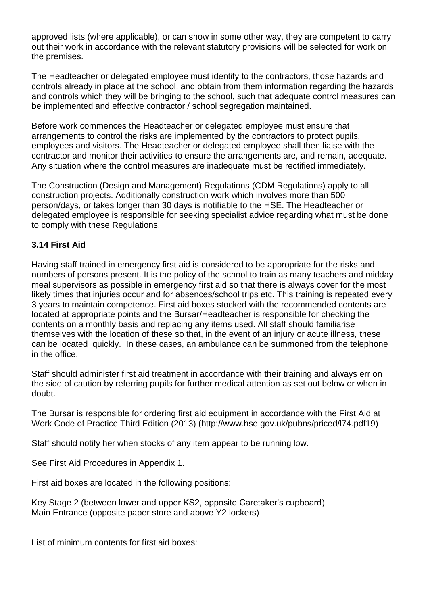approved lists (where applicable), or can show in some other way, they are competent to carry out their work in accordance with the relevant statutory provisions will be selected for work on the premises.

The Headteacher or delegated employee must identify to the contractors, those hazards and controls already in place at the school, and obtain from them information regarding the hazards and controls which they will be bringing to the school, such that adequate control measures can be implemented and effective contractor / school segregation maintained.

Before work commences the Headteacher or delegated employee must ensure that arrangements to control the risks are implemented by the contractors to protect pupils, employees and visitors. The Headteacher or delegated employee shall then liaise with the contractor and monitor their activities to ensure the arrangements are, and remain, adequate. Any situation where the control measures are inadequate must be rectified immediately.

The Construction (Design and Management) Regulations (CDM Regulations) apply to all construction projects. Additionally construction work which involves more than 500 person/days, or takes longer than 30 days is notifiable to the HSE. The Headteacher or delegated employee is responsible for seeking specialist advice regarding what must be done to comply with these Regulations.

## **3.14 First Aid**

Having staff trained in emergency first aid is considered to be appropriate for the risks and numbers of persons present. It is the policy of the school to train as many teachers and midday meal supervisors as possible in emergency first aid so that there is always cover for the most likely times that injuries occur and for absences/school trips etc. This training is repeated every 3 years to maintain competence. First aid boxes stocked with the recommended contents are located at appropriate points and the Bursar/Headteacher is responsible for checking the contents on a monthly basis and replacing any items used. All staff should familiarise themselves with the location of these so that, in the event of an injury or acute illness, these can be located quickly. In these cases, an ambulance can be summoned from the telephone in the office.

Staff should administer first aid treatment in accordance with their training and always err on the side of caution by referring pupils for further medical attention as set out below or when in doubt.

The Bursar is responsible for ordering first aid equipment in accordance with the First Aid at Work Code of Practice Third Edition (2013) [\(http://www.hse.gov.uk/pubns/priced/l74.pdf19\)](http://www.hse.gov.uk/pubns/priced/l74.pdf19)

Staff should notify her when stocks of any item appear to be running low.

See First Aid Procedures in Appendix 1.

First aid boxes are located in the following positions:

Key Stage 2 (between lower and upper KS2, opposite Caretaker's cupboard) Main Entrance (opposite paper store and above Y2 lockers)

List of minimum contents for first aid boxes: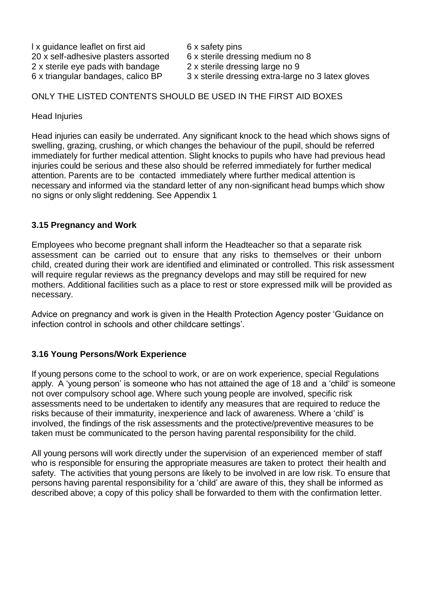I x guidance leaflet on first aid 6 x safety pins 20 x self-adhesive plasters assorted 6 x sterile dressing medium no 8 2 x sterile eye pads with bandage 2 x sterile dressing large no 9<br>6 x triangular bandages, calico BP 3 x sterile dressing extra-large

- 
- 
- 
- 3 x sterile dressing extra-large no 3 latex gloves

## ONLY THE LISTED CONTENTS SHOULD BE USED IN THE FIRST AID BOXES

Head Injuries

Head injuries can easily be underrated. Any significant knock to the head which shows signs of swelling, grazing, crushing, or which changes the behaviour of the pupil, should be referred immediately for further medical attention. Slight knocks to pupils who have had previous head injuries could be serious and these also should be referred immediately for further medical attention. Parents are to be contacted immediately where further medical attention is necessary and informed via the standard letter of any non-significant head bumps which show no signs or only slight reddening. See Appendix 1

## **3.15 Pregnancy and Work**

Employees who become pregnant shall inform the Headteacher so that a separate risk assessment can be carried out to ensure that any risks to themselves or their unborn child, created during their work are identified and eliminated or controlled. This risk assessment will require regular reviews as the pregnancy develops and may still be required for new mothers. Additional facilities such as a place to rest or store expressed milk will be provided as necessary.

Advice on pregnancy and work is given in the Health Protection Agency poster 'Guidance on infection control in schools and other childcare settings'.

## **3.16 Young Persons/Work Experience**

If young persons come to the school to work, or are on work experience, special Regulations apply. A 'young person' is someone who has not attained the age of 18 and a 'child' is someone not over compulsory school age. Where such young people are involved, specific risk assessments need to be undertaken to identify any measures that are required to reduce the risks because of their immaturity, inexperience and lack of awareness. Where a 'child' is involved, the findings of the risk assessments and the protective/preventive measures to be taken must be communicated to the person having parental responsibility for the child.

All young persons will work directly under the supervision of an experienced member of staff who is responsible for ensuring the appropriate measures are taken to protect their health and safety. The activities that young persons are likely to be involved in are low risk. To ensure that persons having parental responsibility for a 'child' are aware of this, they shall be informed as described above; a copy of this policy shall be forwarded to them with the confirmation letter.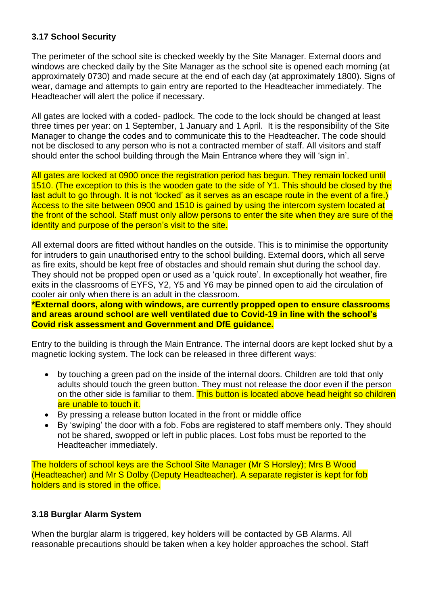## **3.17 School Security**

The perimeter of the school site is checked weekly by the Site Manager. External doors and windows are checked daily by the Site Manager as the school site is opened each morning (at approximately 0730) and made secure at the end of each day (at approximately 1800). Signs of wear, damage and attempts to gain entry are reported to the Headteacher immediately. The Headteacher will alert the police if necessary.

All gates are locked with a coded- padlock. The code to the lock should be changed at least three times per year: on 1 September, 1 January and 1 April. It is the responsibility of the Site Manager to change the codes and to communicate this to the Headteacher. The code should not be disclosed to any person who is not a contracted member of staff. All visitors and staff should enter the school building through the Main Entrance where they will 'sign in'.

All gates are locked at 0900 once the registration period has begun. They remain locked until 1510. (The exception to this is the wooden gate to the side of Y1. This should be closed by the last adult to go through. It is not 'locked' as it serves as an escape route in the event of a fire.) Access to the site between 0900 and 1510 is gained by using the intercom system located at the front of the school. Staff must only allow persons to enter the site when they are sure of the identity and purpose of the person's visit to the site.

All external doors are fitted without handles on the outside. This is to minimise the opportunity for intruders to gain unauthorised entry to the school building. External doors, which all serve as fire exits, should be kept free of obstacles and should remain shut during the school day. They should not be propped open or used as a 'quick route'. In exceptionally hot weather, fire exits in the classrooms of EYFS, Y2, Y5 and Y6 may be pinned open to aid the circulation of cooler air only when there is an adult in the classroom.

**\*External doors, along with windows, are currently propped open to ensure classrooms and areas around school are well ventilated due to Covid-19 in line with the school's Covid risk assessment and Government and DfE guidance.** 

Entry to the building is through the Main Entrance. The internal doors are kept locked shut by a magnetic locking system. The lock can be released in three different ways:

- by touching a green pad on the inside of the internal doors. Children are told that only adults should touch the green button. They must not release the door even if the person on the other side is familiar to them. This button is located above head height so children are unable to touch it.
- By pressing a release button located in the front or middle office
- By 'swiping' the door with a fob. Fobs are registered to staff members only. They should not be shared, swopped or left in public places. Lost fobs must be reported to the Headteacher immediately.

The holders of school keys are the School Site Manager (Mr S Horsley); Mrs B Wood (Headteacher) and Mr S Dolby (Deputy Headteacher). A separate register is kept for fob holders and is stored in the office.

## **3.18 Burglar Alarm System**

When the burglar alarm is triggered, key holders will be contacted by GB Alarms. All reasonable precautions should be taken when a key holder approaches the school. Staff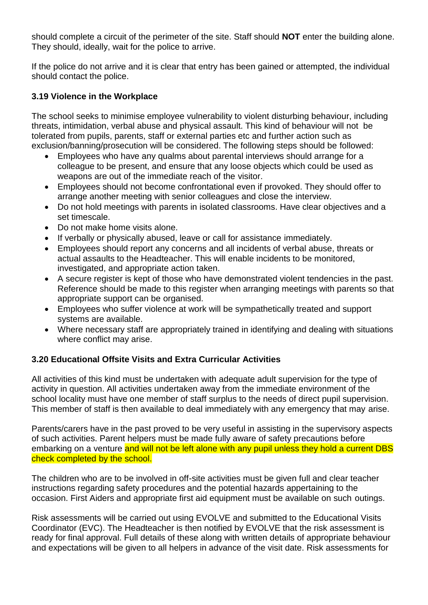should complete a circuit of the perimeter of the site. Staff should **NOT** enter the building alone. They should, ideally, wait for the police to arrive.

If the police do not arrive and it is clear that entry has been gained or attempted, the individual should contact the police.

## **3.19 Violence in the Workplace**

The school seeks to minimise employee vulnerability to violent disturbing behaviour, including threats, intimidation, verbal abuse and physical assault. This kind of behaviour will not be tolerated from pupils, parents, staff or external parties etc and further action such as exclusion/banning/prosecution will be considered. The following steps should be followed:

- Employees who have any qualms about parental interviews should arrange for a colleague to be present, and ensure that any loose objects which could be used as weapons are out of the immediate reach of the visitor.
- Employees should not become confrontational even if provoked. They should offer to arrange another meeting with senior colleagues and close the interview.
- Do not hold meetings with parents in isolated classrooms. Have clear objectives and a set timescale.
- Do not make home visits alone.
- If verbally or physically abused, leave or call for assistance immediately.
- Employees should report any concerns and all incidents of verbal abuse, threats or actual assaults to the Headteacher. This will enable incidents to be monitored, investigated, and appropriate action taken.
- A secure register is kept of those who have demonstrated violent tendencies in the past. Reference should be made to this register when arranging meetings with parents so that appropriate support can be organised.
- Employees who suffer violence at work will be sympathetically treated and support systems are available.
- Where necessary staff are appropriately trained in identifying and dealing with situations where conflict may arise.

# **3.20 Educational Offsite Visits and Extra Curricular Activities**

All activities of this kind must be undertaken with adequate adult supervision for the type of activity in question. All activities undertaken away from the immediate environment of the school locality must have one member of staff surplus to the needs of direct pupil supervision. This member of staff is then available to deal immediately with any emergency that may arise.

Parents/carers have in the past proved to be very useful in assisting in the supervisory aspects of such activities. Parent helpers must be made fully aware of safety precautions before embarking on a venture and will not be left alone with any pupil unless they hold a current DBS check completed by the school.

The children who are to be involved in off-site activities must be given full and clear teacher instructions regarding safety procedures and the potential hazards appertaining to the occasion. First Aiders and appropriate first aid equipment must be available on such outings.

Risk assessments will be carried out using EVOLVE and submitted to the Educational Visits Coordinator (EVC). The Headteacher is then notified by EVOLVE that the risk assessment is ready for final approval. Full details of these along with written details of appropriate behaviour and expectations will be given to all helpers in advance of the visit date. Risk assessments for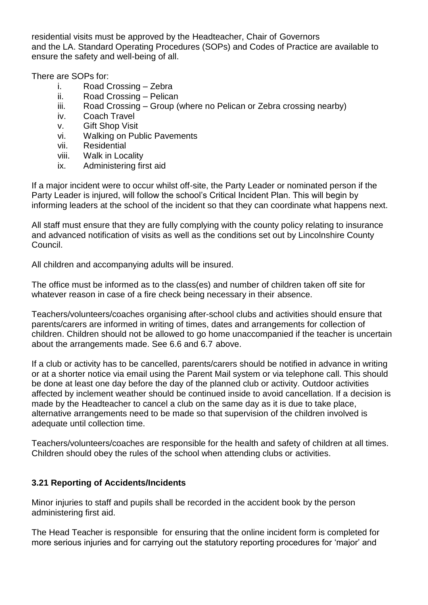residential visits must be approved by the Headteacher, Chair of Governors and the LA. Standard Operating Procedures (SOPs) and Codes of Practice are available to ensure the safety and well-being of all.

There are SOPs for:

- i. Road Crossing Zebra
- ii. Road Crossing Pelican
- iii. Road Crossing Group (where no Pelican or Zebra crossing nearby)
- iv. Coach Travel
- v. Gift Shop Visit
- vi. Walking on Public Pavements
- vii. Residential
- viii. Walk in Locality
- ix. Administering first aid

If a major incident were to occur whilst off-site, the Party Leader or nominated person if the Party Leader is injured, will follow the school's Critical Incident Plan. This will begin by informing leaders at the school of the incident so that they can coordinate what happens next.

All staff must ensure that they are fully complying with the county policy relating to insurance and advanced notification of visits as well as the conditions set out by Lincolnshire County Council.

All children and accompanying adults will be insured.

The office must be informed as to the class(es) and number of children taken off site for whatever reason in case of a fire check being necessary in their absence.

Teachers/volunteers/coaches organising after-school clubs and activities should ensure that parents/carers are informed in writing of times, dates and arrangements for collection of children. Children should not be allowed to go home unaccompanied if the teacher is uncertain about the arrangements made. See 6.6 and 6.7 above.

If a club or activity has to be cancelled, parents/carers should be notified in advance in writing or at a shorter notice via email using the Parent Mail system or via telephone call. This should be done at least one day before the day of the planned club or activity. Outdoor activities affected by inclement weather should be continued inside to avoid cancellation. If a decision is made by the Headteacher to cancel a club on the same day as it is due to take place, alternative arrangements need to be made so that supervision of the children involved is adequate until collection time.

Teachers/volunteers/coaches are responsible for the health and safety of children at all times. Children should obey the rules of the school when attending clubs or activities.

# **3.21 Reporting of Accidents/Incidents**

Minor injuries to staff and pupils shall be recorded in the accident book by the person administering first aid.

The Head Teacher is responsible for ensuring that the online incident form is completed for more serious injuries and for carrying out the statutory reporting procedures for 'major' and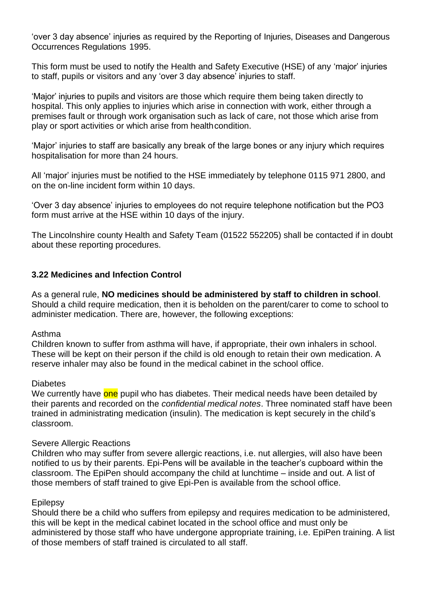'over 3 day absence' injuries as required by the Reporting of Injuries, Diseases and Dangerous Occurrences Regulations 1995.

This form must be used to notify the Health and Safety Executive (HSE) of any 'major' injuries to staff, pupils or visitors and any 'over 3 day absence' injuries to staff.

'Major' injuries to pupils and visitors are those which require them being taken directly to hospital. This only applies to injuries which arise in connection with work, either through a premises fault or through work organisation such as lack of care, not those which arise from play or sport activities or which arise from health condition.

'Major' injuries to staff are basically any break of the large bones or any injury which requires hospitalisation for more than 24 hours.

All 'major' injuries must be notified to the HSE immediately by telephone 0115 971 2800, and on the on-line incident form within 10 days.

'Over 3 day absence' injuries to employees do not require telephone notification but the PO3 form must arrive at the HSE within 10 days of the injury.

The Lincolnshire county Health and Safety Team (01522 552205) shall be contacted if in doubt about these reporting procedures.

## **3.22 Medicines and Infection Control**

As a general rule, **NO medicines should be administered by staff to children in school**. Should a child require medication, then it is beholden on the parent/carer to come to school to administer medication. There are, however, the following exceptions:

#### Asthma

Children known to suffer from asthma will have, if appropriate, their own inhalers in school. These will be kept on their person if the child is old enough to retain their own medication. A reserve inhaler may also be found in the medical cabinet in the school office.

## **Diabetes**

We currently have one pupil who has diabetes. Their medical needs have been detailed by their parents and recorded on the *confidential medical notes*. Three nominated staff have been trained in administrating medication (insulin). The medication is kept securely in the child's classroom.

## Severe Allergic Reactions

Children who may suffer from severe allergic reactions, i.e. nut allergies, will also have been notified to us by their parents. Epi-Pens will be available in the teacher's cupboard within the classroom. The EpiPen should accompany the child at lunchtime – inside and out. A list of those members of staff trained to give Epi-Pen is available from the school office.

## Epilepsy

Should there be a child who suffers from epilepsy and requires medication to be administered, this will be kept in the medical cabinet located in the school office and must only be administered by those staff who have undergone appropriate training, i.e. EpiPen training. A list of those members of staff trained is circulated to all staff.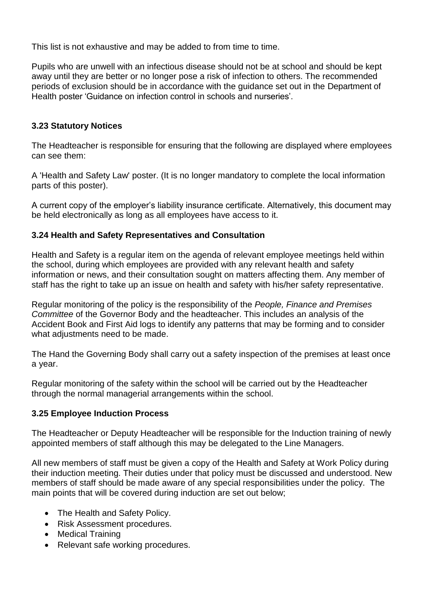This list is not exhaustive and may be added to from time to time.

Pupils who are unwell with an infectious disease should not be at school and should be kept away until they are better or no longer pose a risk of infection to others. The recommended periods of exclusion should be in accordance with the guidance set out in the Department of Health poster 'Guidance on infection control in schools and nurseries'.

## **3.23 Statutory Notices**

The Headteacher is responsible for ensuring that the following are displayed where employees can see them:

A 'Health and Safety Law' poster. (It is no longer mandatory to complete the local information parts of this poster).

A current copy of the employer's liability insurance certificate. Alternatively, this document may be held electronically as long as all employees have access to it.

## **3.24 Health and Safety Representatives and Consultation**

Health and Safety is a regular item on the agenda of relevant employee meetings held within the school, during which employees are provided with any relevant health and safety information or news, and their consultation sought on matters affecting them. Any member of staff has the right to take up an issue on health and safety with his/her safety representative.

Regular monitoring of the policy is the responsibility of the *People, Finance and Premises Committee* of the Governor Body and the headteacher. This includes an analysis of the Accident Book and First Aid logs to identify any patterns that may be forming and to consider what adjustments need to be made.

The Hand the Governing Body shall carry out a safety inspection of the premises at least once a year.

Regular monitoring of the safety within the school will be carried out by the Headteacher through the normal managerial arrangements within the school.

## **3.25 Employee Induction Process**

The Headteacher or Deputy Headteacher will be responsible for the Induction training of newly appointed members of staff although this may be delegated to the Line Managers.

All new members of staff must be given a copy of the Health and Safety at Work Policy during their induction meeting. Their duties under that policy must be discussed and understood. New members of staff should be made aware of any special responsibilities under the policy. The main points that will be covered during induction are set out below;

- The Health and Safety Policy.
- Risk Assessment procedures.
- Medical Training
- Relevant safe working procedures.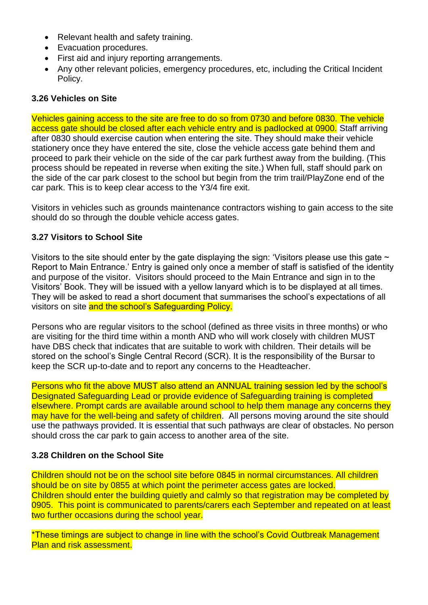- Relevant health and safety training.
- Evacuation procedures.
- First aid and injury reporting arrangements.
- Any other relevant policies, emergency procedures, etc, including the Critical Incident Policy.

#### **3.26 Vehicles on Site**

Vehicles gaining access to the site are free to do so from 0730 and before 0830. The vehicle access gate should be closed after each vehicle entry and is padlocked at 0900. Staff arriving after 0830 should exercise caution when entering the site. They should make their vehicle stationery once they have entered the site, close the vehicle access gate behind them and proceed to park their vehicle on the side of the car park furthest away from the building. (This process should be repeated in reverse when exiting the site.) When full, staff should park on the side of the car park closest to the school but begin from the trim trail/PlayZone end of the car park. This is to keep clear access to the Y3/4 fire exit.

Visitors in vehicles such as grounds maintenance contractors wishing to gain access to the site should do so through the double vehicle access gates.

## **3.27 Visitors to School Site**

Visitors to the site should enter by the gate displaying the sign: 'Visitors please use this gate  $\sim$ Report to Main Entrance.' Entry is gained only once a member of staff is satisfied of the identity and purpose of the visitor. Visitors should proceed to the Main Entrance and sign in to the Visitors' Book. They will be issued with a yellow lanyard which is to be displayed at all times. They will be asked to read a short document that summarises the school's expectations of all visitors on site and the school's Safeguarding Policy.

Persons who are regular visitors to the school (defined as three visits in three months) or who are visiting for the third time within a month AND who will work closely with children MUST have DBS check that indicates that are suitable to work with children. Their details will be stored on the school's Single Central Record (SCR). It is the responsibility of the Bursar to keep the SCR up-to-date and to report any concerns to the Headteacher.

Persons who fit the above MUST also attend an ANNUAL training session led by the school's Designated Safeguarding Lead or provide evidence of Safeguarding training is completed elsewhere. Prompt cards are available around school to help them manage any concerns they may have for the well-being and safety of children. All persons moving around the site should use the pathways provided. It is essential that such pathways are clear of obstacles. No person should cross the car park to gain access to another area of the site.

#### **3.28 Children on the School Site**

Children should not be on the school site before 0845 in normal circumstances. All children should be on site by 0855 at which point the perimeter access gates are locked. Children should enter the building quietly and calmly so that registration may be completed by 0905. This point is communicated to parents/carers each September and repeated on at least two further occasions during the school year.

\*These timings are subject to change in line with the school's Covid Outbreak Management Plan and risk assessment.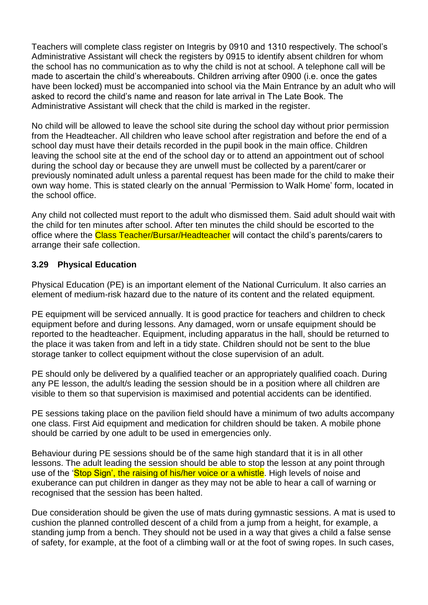Teachers will complete class register on Integris by 0910 and 1310 respectively. The school's Administrative Assistant will check the registers by 0915 to identify absent children for whom the school has no communication as to why the child is not at school. A telephone call will be made to ascertain the child's whereabouts. Children arriving after 0900 (i.e. once the gates have been locked) must be accompanied into school via the Main Entrance by an adult who will asked to record the child's name and reason for late arrival in The Late Book. The Administrative Assistant will check that the child is marked in the register.

No child will be allowed to leave the school site during the school day without prior permission from the Headteacher. All children who leave school after registration and before the end of a school day must have their details recorded in the pupil book in the main office. Children leaving the school site at the end of the school day or to attend an appointment out of school during the school day or because they are unwell must be collected by a parent/carer or previously nominated adult unless a parental request has been made for the child to make their own way home. This is stated clearly on the annual 'Permission to Walk Home' form, located in the school office.

Any child not collected must report to the adult who dismissed them. Said adult should wait with the child for ten minutes after school. After ten minutes the child should be escorted to the office where the **Class Teacher/Bursar/Headteacher** will contact the child's parents/carers to arrange their safe collection.

## **3.29 Physical Education**

Physical Education (PE) is an important element of the National Curriculum. It also carries an element of medium-risk hazard due to the nature of its content and the related equipment.

PE equipment will be serviced annually. It is good practice for teachers and children to check equipment before and during lessons. Any damaged, worn or unsafe equipment should be reported to the headteacher. Equipment, including apparatus in the hall, should be returned to the place it was taken from and left in a tidy state. Children should not be sent to the blue storage tanker to collect equipment without the close supervision of an adult.

PE should only be delivered by a qualified teacher or an appropriately qualified coach. During any PE lesson, the adult/s leading the session should be in a position where all children are visible to them so that supervision is maximised and potential accidents can be identified.

PE sessions taking place on the pavilion field should have a minimum of two adults accompany one class. First Aid equipment and medication for children should be taken. A mobile phone should be carried by one adult to be used in emergencies only.

Behaviour during PE sessions should be of the same high standard that it is in all other lessons. The adult leading the session should be able to stop the lesson at any point through use of the 'Stop Sign', the raising of his/her voice or a whistle. High levels of noise and exuberance can put children in danger as they may not be able to hear a call of warning or recognised that the session has been halted.

Due consideration should be given the use of mats during gymnastic sessions. A mat is used to cushion the planned controlled descent of a child from a jump from a height, for example, a standing jump from a bench. They should not be used in a way that gives a child a false sense of safety, for example, at the foot of a climbing wall or at the foot of swing ropes. In such cases,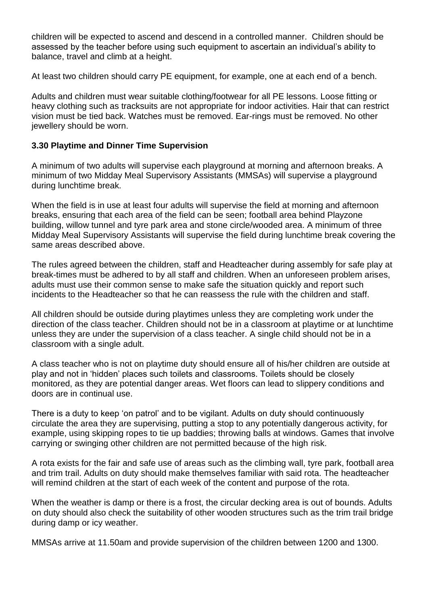children will be expected to ascend and descend in a controlled manner. Children should be assessed by the teacher before using such equipment to ascertain an individual's ability to balance, travel and climb at a height.

At least two children should carry PE equipment, for example, one at each end of a bench.

Adults and children must wear suitable clothing/footwear for all PE lessons. Loose fitting or heavy clothing such as tracksuits are not appropriate for indoor activities. Hair that can restrict vision must be tied back. Watches must be removed. Ear-rings must be removed. No other jewellery should be worn.

## **3.30 Playtime and Dinner Time Supervision**

A minimum of two adults will supervise each playground at morning and afternoon breaks. A minimum of two Midday Meal Supervisory Assistants (MMSAs) will supervise a playground during lunchtime break.

When the field is in use at least four adults will supervise the field at morning and afternoon breaks, ensuring that each area of the field can be seen; football area behind Playzone building, willow tunnel and tyre park area and stone circle/wooded area. A minimum of three Midday Meal Supervisory Assistants will supervise the field during lunchtime break covering the same areas described above.

The rules agreed between the children, staff and Headteacher during assembly for safe play at break-times must be adhered to by all staff and children. When an unforeseen problem arises, adults must use their common sense to make safe the situation quickly and report such incidents to the Headteacher so that he can reassess the rule with the children and staff.

All children should be outside during playtimes unless they are completing work under the direction of the class teacher. Children should not be in a classroom at playtime or at lunchtime unless they are under the supervision of a class teacher. A single child should not be in a classroom with a single adult.

A class teacher who is not on playtime duty should ensure all of his/her children are outside at play and not in 'hidden' places such toilets and classrooms. Toilets should be closely monitored, as they are potential danger areas. Wet floors can lead to slippery conditions and doors are in continual use.

There is a duty to keep 'on patrol' and to be vigilant. Adults on duty should continuously circulate the area they are supervising, putting a stop to any potentially dangerous activity, for example, using skipping ropes to tie up baddies; throwing balls at windows. Games that involve carrying or swinging other children are not permitted because of the high risk.

A rota exists for the fair and safe use of areas such as the climbing wall, tyre park, football area and trim trail. Adults on duty should make themselves familiar with said rota. The headteacher will remind children at the start of each week of the content and purpose of the rota.

When the weather is damp or there is a frost, the circular decking area is out of bounds. Adults on duty should also check the suitability of other wooden structures such as the trim trail bridge during damp or icy weather.

MMSAs arrive at 11.50am and provide supervision of the children between 1200 and 1300.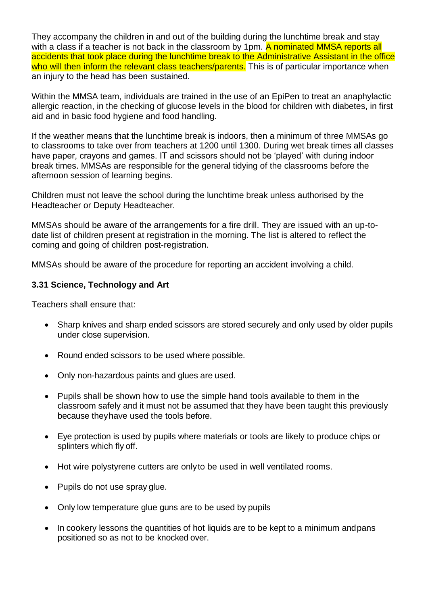They accompany the children in and out of the building during the lunchtime break and stay with a class if a teacher is not back in the classroom by 1pm. A nominated MMSA reports all accidents that took place during the lunchtime break to the Administrative Assistant in the office who will then inform the relevant class teachers/parents. This is of particular importance when an injury to the head has been sustained.

Within the MMSA team, individuals are trained in the use of an EpiPen to treat an anaphylactic allergic reaction, in the checking of glucose levels in the blood for children with diabetes, in first aid and in basic food hygiene and food handling.

If the weather means that the lunchtime break is indoors, then a minimum of three MMSAs go to classrooms to take over from teachers at 1200 until 1300. During wet break times all classes have paper, crayons and games. IT and scissors should not be 'played' with during indoor break times. MMSAs are responsible for the general tidying of the classrooms before the afternoon session of learning begins.

Children must not leave the school during the lunchtime break unless authorised by the Headteacher or Deputy Headteacher.

MMSAs should be aware of the arrangements for a fire drill. They are issued with an up-todate list of children present at registration in the morning. The list is altered to reflect the coming and going of children post-registration.

MMSAs should be aware of the procedure for reporting an accident involving a child.

## **3.31 Science, Technology and Art**

Teachers shall ensure that:

- Sharp knives and sharp ended scissors are stored securely and only used by older pupils under close supervision.
- Round ended scissors to be used where possible.
- Only non-hazardous paints and glues are used.
- Pupils shall be shown how to use the simple hand tools available to them in the classroom safely and it must not be assumed that they have been taught this previously because theyhave used the tools before.
- Eye protection is used by pupils where materials or tools are likely to produce chips or splinters which fly off.
- Hot wire polystyrene cutters are onlyto be used in well ventilated rooms.
- Pupils do not use spray glue.
- Only low temperature glue guns are to be used by pupils
- In cookery lessons the quantities of hot liquids are to be kept to a minimum and pans positioned so as not to be knocked over.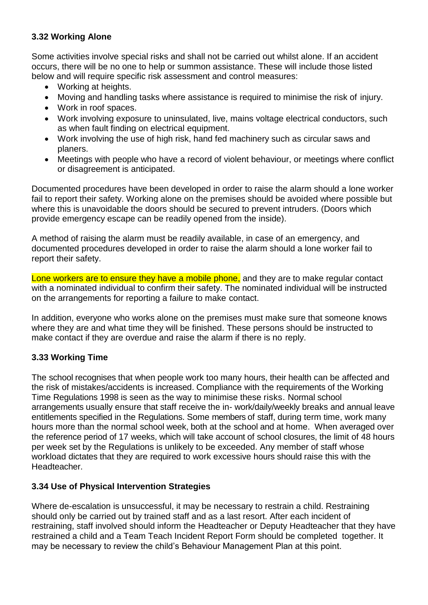## **3.32 Working Alone**

Some activities involve special risks and shall not be carried out whilst alone. If an accident occurs, there will be no one to help or summon assistance. These will include those listed below and will require specific risk assessment and control measures:

- Working at heights.
- Moving and handling tasks where assistance is required to minimise the risk of injury.
- Work in roof spaces.
- Work involving exposure to uninsulated, live, mains voltage electrical conductors, such as when fault finding on electrical equipment.
- Work involving the use of high risk, hand fed machinery such as circular saws and planers.
- Meetings with people who have a record of violent behaviour, or meetings where conflict or disagreement is anticipated.

Documented procedures have been developed in order to raise the alarm should a lone worker fail to report their safety. Working alone on the premises should be avoided where possible but where this is unavoidable the doors should be secured to prevent intruders. (Doors which provide emergency escape can be readily opened from the inside).

A method of raising the alarm must be readily available, in case of an emergency, and documented procedures developed in order to raise the alarm should a lone worker fail to report their safety.

Lone workers are to ensure they have a mobile phone, and they are to make regular contact with a nominated individual to confirm their safety. The nominated individual will be instructed on the arrangements for reporting a failure to make contact.

In addition, everyone who works alone on the premises must make sure that someone knows where they are and what time they will be finished. These persons should be instructed to make contact if they are overdue and raise the alarm if there is no reply.

# **3.33 Working Time**

The school recognises that when people work too many hours, their health can be affected and the risk of mistakes/accidents is increased. Compliance with the requirements of the Working Time Regulations 1998 is seen as the way to minimise these risks. Normal school arrangements usually ensure that staff receive the in- work/daily/weekly breaks and annual leave entitlements specified in the Regulations. Some members of staff, during term time, work many hours more than the normal school week, both at the school and at home. When averaged over the reference period of 17 weeks, which will take account of school closures, the limit of 48 hours per week set by the Regulations is unlikely to be exceeded. Any member of staff whose workload dictates that they are required to work excessive hours should raise this with the Headteacher.

## **3.34 Use of Physical Intervention Strategies**

Where de-escalation is unsuccessful, it may be necessary to restrain a child. Restraining should only be carried out by trained staff and as a last resort. After each incident of restraining, staff involved should inform the Headteacher or Deputy Headteacher that they have restrained a child and a Team Teach Incident Report Form should be completed together. It may be necessary to review the child's Behaviour Management Plan at this point.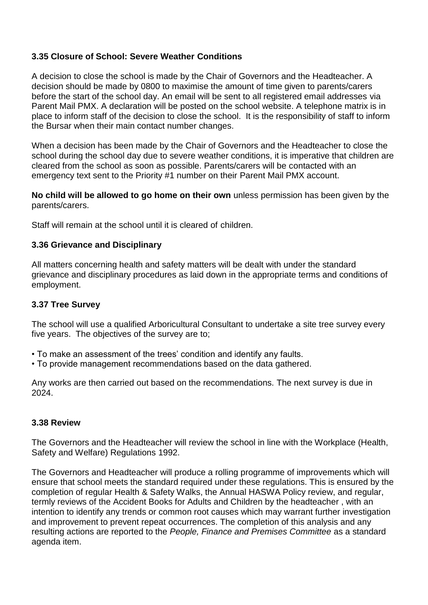## **3.35 Closure of School: Severe Weather Conditions**

A decision to close the school is made by the Chair of Governors and the Headteacher. A decision should be made by 0800 to maximise the amount of time given to parents/carers before the start of the school day. An email will be sent to all registered email addresses via Parent Mail PMX. A declaration will be posted on the school website. A telephone matrix is in place to inform staff of the decision to close the school. It is the responsibility of staff to inform the Bursar when their main contact number changes.

When a decision has been made by the Chair of Governors and the Headteacher to close the school during the school day due to severe weather conditions, it is imperative that children are cleared from the school as soon as possible. Parents/carers will be contacted with an emergency text sent to the Priority #1 number on their Parent Mail PMX account.

**No child will be allowed to go home on their own** unless permission has been given by the parents/carers.

Staff will remain at the school until it is cleared of children.

## **3.36 Grievance and Disciplinary**

All matters concerning health and safety matters will be dealt with under the standard grievance and disciplinary procedures as laid down in the appropriate terms and conditions of employment.

## **3.37 Tree Survey**

The school will use a qualified Arboricultural Consultant to undertake a site tree survey every five years. The objectives of the survey are to;

- To make an assessment of the trees' condition and identify any faults.
- To provide management recommendations based on the data gathered.

Any works are then carried out based on the recommendations. The next survey is due in 2024.

## **3.38 Review**

The Governors and the Headteacher will review the school in line with the Workplace (Health, Safety and Welfare) Regulations 1992.

The Governors and Headteacher will produce a rolling programme of improvements which will ensure that school meets the standard required under these regulations. This is ensured by the completion of regular Health & Safety Walks, the Annual HASWA Policy review, and regular, termly reviews of the Accident Books for Adults and Children by the headteacher , with an intention to identify any trends or common root causes which may warrant further investigation and improvement to prevent repeat occurrences. The completion of this analysis and any resulting actions are reported to the *People, Finance and Premises Committee* as a standard agenda item.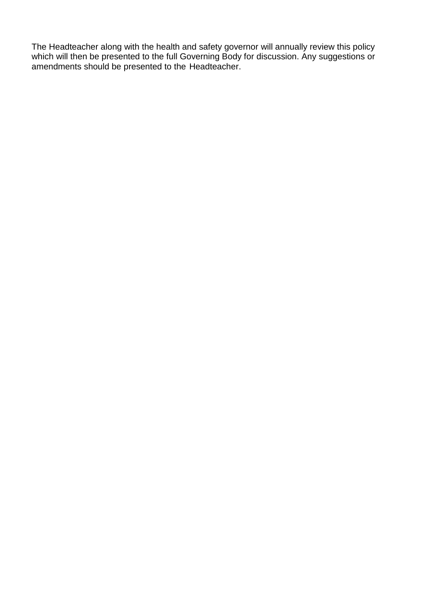The Headteacher along with the health and safety governor will annually review this policy which will then be presented to the full Governing Body for discussion. Any suggestions or amendments should be presented to the Headteacher.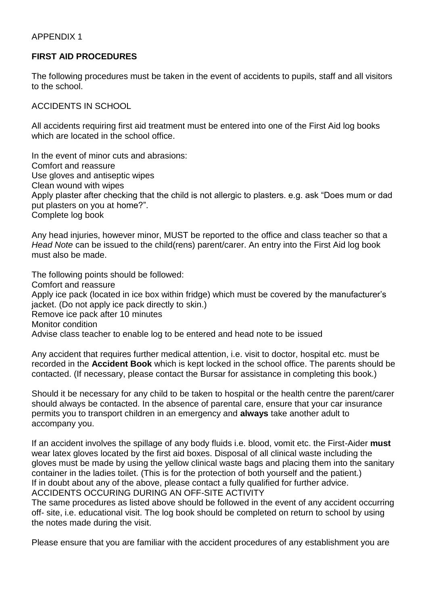## APPENDIX 1

## **FIRST AID PROCEDURES**

The following procedures must be taken in the event of accidents to pupils, staff and all visitors to the school.

ACCIDENTS IN SCHOOL

All accidents requiring first aid treatment must be entered into one of the First Aid log books which are located in the school office.

In the event of minor cuts and abrasions: Comfort and reassure Use gloves and antiseptic wipes Clean wound with wipes Apply plaster after checking that the child is not allergic to plasters. e.g. ask "Does mum or dad put plasters on you at home?". Complete log book

Any head injuries, however minor, MUST be reported to the office and class teacher so that a *Head Note* can be issued to the child(rens) parent/carer. An entry into the First Aid log book must also be made.

The following points should be followed: Comfort and reassure Apply ice pack (located in ice box within fridge) which must be covered by the manufacturer's jacket. (Do not apply ice pack directly to skin.) Remove ice pack after 10 minutes Monitor condition Advise class teacher to enable log to be entered and head note to be issued

Any accident that requires further medical attention, i.e. visit to doctor, hospital etc. must be recorded in the **Accident Book** which is kept locked in the school office. The parents should be contacted. (If necessary, please contact the Bursar for assistance in completing this book.)

Should it be necessary for any child to be taken to hospital or the health centre the parent/carer should always be contacted. In the absence of parental care, ensure that your car insurance permits you to transport children in an emergency and **always** take another adult to accompany you.

If an accident involves the spillage of any body fluids i.e. blood, vomit etc. the First-Aider **must**  wear latex gloves located by the first aid boxes. Disposal of all clinical waste including the gloves must be made by using the yellow clinical waste bags and placing them into the sanitary container in the ladies toilet. (This is for the protection of both yourself and the patient.) If in doubt about any of the above, please contact a fully qualified for further advice. ACCIDENTS OCCURING DURING AN OFF-SITE ACTIVITY

The same procedures as listed above should be followed in the event of any accident occurring off- site, i.e. educational visit. The log book should be completed on return to school by using the notes made during the visit.

Please ensure that you are familiar with the accident procedures of any establishment you are